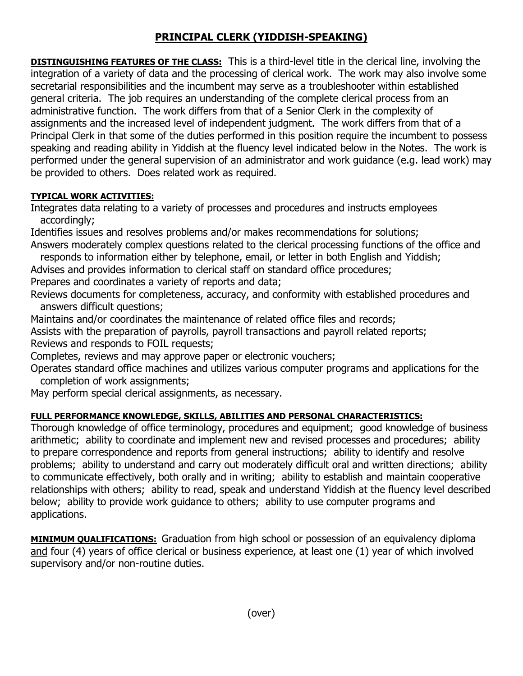## **PRINCIPAL CLERK (YIDDISH-SPEAKING)**

**DISTINGUISHING FEATURES OF THE CLASS:** This is a third-level title in the clerical line, involving the integration of a variety of data and the processing of clerical work. The work may also involve some secretarial responsibilities and the incumbent may serve as a troubleshooter within established general criteria. The job requires an understanding of the complete clerical process from an administrative function. The work differs from that of a Senior Clerk in the complexity of assignments and the increased level of independent judgment. The work differs from that of a Principal Clerk in that some of the duties performed in this position require the incumbent to possess speaking and reading ability in Yiddish at the fluency level indicated below in the Notes. The work is performed under the general supervision of an administrator and work guidance (e.g. lead work) may be provided to others. Does related work as required.

## **TYPICAL WORK ACTIVITIES:**

Integrates data relating to a variety of processes and procedures and instructs employees accordingly;

Identifies issues and resolves problems and/or makes recommendations for solutions; Answers moderately complex questions related to the clerical processing functions of the office and

responds to information either by telephone, email, or letter in both English and Yiddish;

Advises and provides information to clerical staff on standard office procedures;

Prepares and coordinates a variety of reports and data;

Reviews documents for completeness, accuracy, and conformity with established procedures and answers difficult questions;

Maintains and/or coordinates the maintenance of related office files and records;

Assists with the preparation of payrolls, payroll transactions and payroll related reports; Reviews and responds to FOIL requests;

Completes, reviews and may approve paper or electronic vouchers;

Operates standard office machines and utilizes various computer programs and applications for the completion of work assignments;

May perform special clerical assignments, as necessary.

## **FULL PERFORMANCE KNOWLEDGE, SKILLS, ABILITIES AND PERSONAL CHARACTERISTICS:**

Thorough knowledge of office terminology, procedures and equipment; good knowledge of business arithmetic; ability to coordinate and implement new and revised processes and procedures; ability to prepare correspondence and reports from general instructions; ability to identify and resolve problems; ability to understand and carry out moderately difficult oral and written directions; ability to communicate effectively, both orally and in writing; ability to establish and maintain cooperative relationships with others; ability to read, speak and understand Yiddish at the fluency level described below; ability to provide work guidance to others; ability to use computer programs and applications.

**MINIMUM QUALIFICATIONS:** Graduation from high school or possession of an equivalency diploma and four (4) years of office clerical or business experience, at least one (1) year of which involved supervisory and/or non-routine duties.